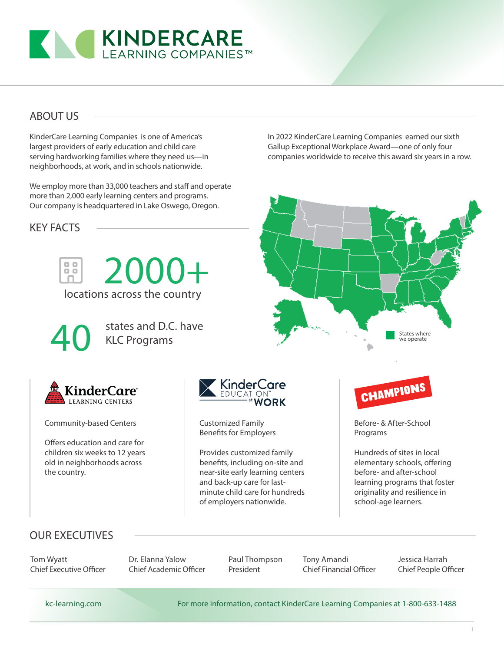

### ABOUT US

KinderCare Learning Companies is one of America's largest providers of early education and child care serving hardworking families where they need us—in neighborhoods, at work, and in schools nationwide.

We employ more than 33,000 teachers and staff and operate more than 2,000 early learning centers and programs. Our company is headquartered in Lake Oswego, Oregon.

KEY FACTS



locations across the country



states and D.C. have KLC Programs

2000+



Community-based Centers

Offers education and care for children six weeks to 12 years old in neighborhoods across the country.



Customized Family Benefits for Employers

Provides customized family benefits, including on-site and near-site early learning centers and back-up care for lastminute child care for hundreds of employers nationwide.



States where we operate

In 2022 KinderCare Learning Companies earned our sixth Gallup Exceptional Workplace Award—one of only four companies worldwide to receive this award six years in a row.

> Before- & After-School Programs

Hundreds of sites in local elementary schools, offering before- and after-school learning programs that foster originality and resilience in school-age learners.

## OUR EXECUTIVES

Tom Wyatt Chief Executive Officer Dr. Elanna Yalow Chief Academic Officer

Paul Thompson President

Tony Amandi Chief Financial Officer Jessica Harrah Chief People Officer

kc-learning.com For more information, contact KinderCare Learning Companies at 1-800-633-1488